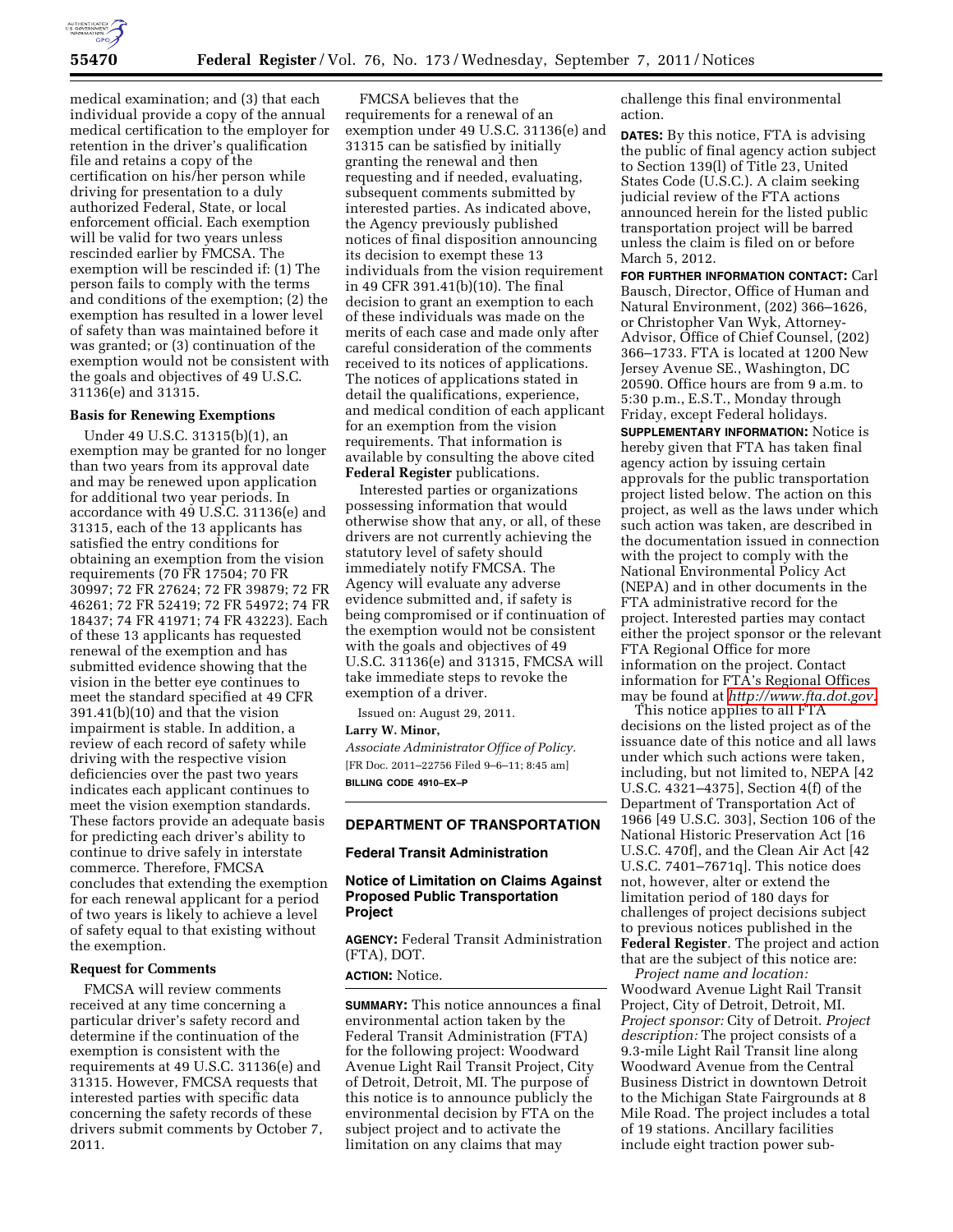

medical examination; and (3) that each individual provide a copy of the annual medical certification to the employer for retention in the driver's qualification file and retains a copy of the certification on his/her person while driving for presentation to a duly authorized Federal, State, or local enforcement official. Each exemption will be valid for two years unless rescinded earlier by FMCSA. The exemption will be rescinded if: (1) The person fails to comply with the terms and conditions of the exemption; (2) the exemption has resulted in a lower level of safety than was maintained before it was granted; or (3) continuation of the exemption would not be consistent with the goals and objectives of 49 U.S.C. 31136(e) and 31315.

# **Basis for Renewing Exemptions**

Under 49 U.S.C. 31315(b)(1), an exemption may be granted for no longer than two years from its approval date and may be renewed upon application for additional two year periods. In accordance with 49 U.S.C. 31136(e) and 31315, each of the 13 applicants has satisfied the entry conditions for obtaining an exemption from the vision requirements (70 FR 17504; 70 FR 30997; 72 FR 27624; 72 FR 39879; 72 FR 46261; 72 FR 52419; 72 FR 54972; 74 FR 18437; 74 FR 41971; 74 FR 43223). Each of these 13 applicants has requested renewal of the exemption and has submitted evidence showing that the vision in the better eye continues to meet the standard specified at 49 CFR 391.41(b)(10) and that the vision impairment is stable. In addition, a review of each record of safety while driving with the respective vision deficiencies over the past two years indicates each applicant continues to meet the vision exemption standards. These factors provide an adequate basis for predicting each driver's ability to continue to drive safely in interstate commerce. Therefore, FMCSA concludes that extending the exemption for each renewal applicant for a period of two years is likely to achieve a level of safety equal to that existing without the exemption.

#### **Request for Comments**

FMCSA will review comments received at any time concerning a particular driver's safety record and determine if the continuation of the exemption is consistent with the requirements at 49 U.S.C. 31136(e) and 31315. However, FMCSA requests that interested parties with specific data concerning the safety records of these drivers submit comments by October 7, 2011.

FMCSA believes that the requirements for a renewal of an exemption under 49 U.S.C. 31136(e) and 31315 can be satisfied by initially granting the renewal and then requesting and if needed, evaluating, subsequent comments submitted by interested parties. As indicated above, the Agency previously published notices of final disposition announcing its decision to exempt these 13 individuals from the vision requirement in 49 CFR 391.41(b)(10). The final decision to grant an exemption to each of these individuals was made on the merits of each case and made only after careful consideration of the comments received to its notices of applications. The notices of applications stated in detail the qualifications, experience, and medical condition of each applicant for an exemption from the vision requirements. That information is available by consulting the above cited **Federal Register** publications.

Interested parties or organizations possessing information that would otherwise show that any, or all, of these drivers are not currently achieving the statutory level of safety should immediately notify FMCSA. The Agency will evaluate any adverse evidence submitted and, if safety is being compromised or if continuation of the exemption would not be consistent with the goals and objectives of 49 U.S.C. 31136(e) and 31315, FMCSA will take immediate steps to revoke the exemption of a driver.

Issued on: August 29, 2011.

#### **Larry W. Minor,**

*Associate Administrator Office of Policy.*  [FR Doc. 2011–22756 Filed 9–6–11; 8:45 am] **BILLING CODE 4910–EX–P** 

### **DEPARTMENT OF TRANSPORTATION**

# **Federal Transit Administration**

# **Notice of Limitation on Claims Against Proposed Public Transportation Project**

**AGENCY:** Federal Transit Administration (FTA), DOT.

#### **ACTION:** Notice.

**SUMMARY:** This notice announces a final environmental action taken by the Federal Transit Administration (FTA) for the following project: Woodward Avenue Light Rail Transit Project, City of Detroit, Detroit, MI. The purpose of this notice is to announce publicly the environmental decision by FTA on the subject project and to activate the limitation on any claims that may

challenge this final environmental action.

**DATES:** By this notice, FTA is advising the public of final agency action subject to Section 139(l) of Title 23, United States Code (U.S.C.). A claim seeking judicial review of the FTA actions announced herein for the listed public transportation project will be barred unless the claim is filed on or before March 5, 2012.

**FOR FURTHER INFORMATION CONTACT:** Carl Bausch, Director, Office of Human and Natural Environment, (202) 366–1626, or Christopher Van Wyk, Attorney-Advisor, Office of Chief Counsel, (202) 366–1733. FTA is located at 1200 New Jersey Avenue SE., Washington, DC 20590. Office hours are from 9 a.m. to 5:30 p.m., E.S.T., Monday through Friday, except Federal holidays.

**SUPPLEMENTARY INFORMATION:** Notice is hereby given that FTA has taken final agency action by issuing certain approvals for the public transportation project listed below. The action on this project, as well as the laws under which such action was taken, are described in the documentation issued in connection with the project to comply with the National Environmental Policy Act (NEPA) and in other documents in the FTA administrative record for the project. Interested parties may contact either the project sponsor or the relevant FTA Regional Office for more information on the project. Contact information for FTA's Regional Offices may be found at *[http://www.fta.dot.gov.](http://www.fta.dot.gov)* 

This notice applies to all FTA decisions on the listed project as of the issuance date of this notice and all laws under which such actions were taken, including, but not limited to, NEPA [42 U.S.C. 4321–4375], Section 4(f) of the Department of Transportation Act of 1966 [49 U.S.C. 303], Section 106 of the National Historic Preservation Act [16 U.S.C. 470f], and the Clean Air Act [42 U.S.C. 7401–7671q]. This notice does not, however, alter or extend the limitation period of 180 days for challenges of project decisions subject to previous notices published in the **Federal Register**. The project and action that are the subject of this notice are:

*Project name and location:*  Woodward Avenue Light Rail Transit Project, City of Detroit, Detroit, MI. *Project sponsor:* City of Detroit. *Project description:* The project consists of a 9.3-mile Light Rail Transit line along Woodward Avenue from the Central Business District in downtown Detroit to the Michigan State Fairgrounds at 8 Mile Road. The project includes a total of 19 stations. Ancillary facilities include eight traction power sub